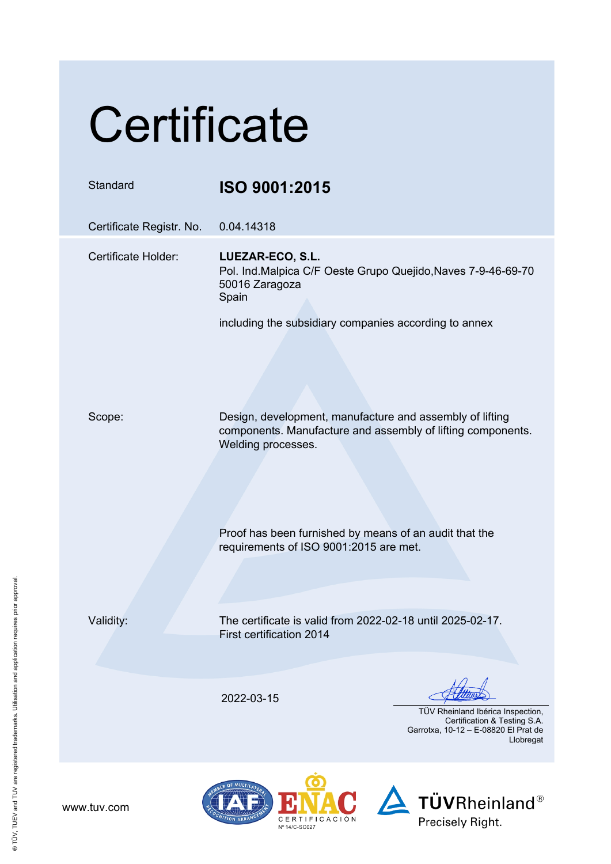## **Certificate**

| Standard                 | ISO 9001:2015                                                                                                                                 |
|--------------------------|-----------------------------------------------------------------------------------------------------------------------------------------------|
| Certificate Registr. No. | 0.04.14318                                                                                                                                    |
| Certificate Holder:      | LUEZAR-ECO, S.L.<br>Pol. Ind.Malpica C/F Oeste Grupo Quejido, Naves 7-9-46-69-70<br>50016 Zaragoza<br>Spain                                   |
|                          | including the subsidiary companies according to annex                                                                                         |
| Scope:                   | Design, development, manufacture and assembly of lifting<br>components. Manufacture and assembly of lifting components.<br>Welding processes. |
|                          | Proof has been furnished by means of an audit that the<br>requirements of ISO 9001:2015 are met.                                              |
| Validity:                | The certificate is valid from 2022-02-18 until 2025-02-17.<br>First certification 2014                                                        |
|                          | 2022-03-15<br>TÜV Rheinland Ibérica Inspection,<br>Certification & Testing S.A.<br>Garrotxa, 10-12 - E-08820 El Prat de<br>Llobregat          |

 $\overline{\mathbf{D}}$ 

**ION ARRAN** 

CERTIFICACIÓN